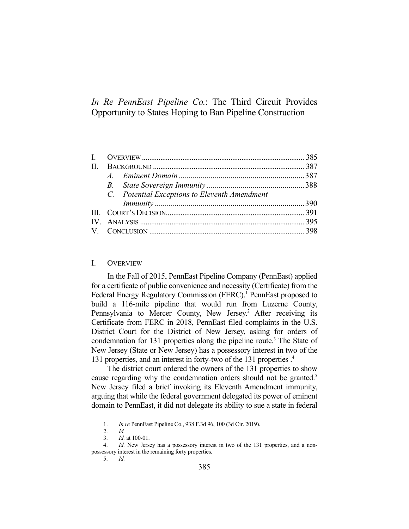# *In Re PennEast Pipeline Co.*: The Third Circuit Provides Opportunity to States Hoping to Ban Pipeline Construction

| C. Potential Exceptions to Eleventh Amendment |  |  |
|-----------------------------------------------|--|--|
|                                               |  |  |
|                                               |  |  |
|                                               |  |  |
|                                               |  |  |

### I. OVERVIEW

 In the Fall of 2015, PennEast Pipeline Company (PennEast) applied for a certificate of public convenience and necessity (Certificate) from the Federal Energy Regulatory Commission (FERC).<sup>1</sup> PennEast proposed to build a 116-mile pipeline that would run from Luzerne County, Pennsylvania to Mercer County, New Jersey.<sup>2</sup> After receiving its Certificate from FERC in 2018, PennEast filed complaints in the U.S. District Court for the District of New Jersey, asking for orders of condemnation for 131 properties along the pipeline route.<sup>3</sup> The State of New Jersey (State or New Jersey) has a possessory interest in two of the 131 properties, and an interest in forty-two of the 131 properties .4

 The district court ordered the owners of the 131 properties to show cause regarding why the condemnation orders should not be granted.<sup>5</sup> New Jersey filed a brief invoking its Eleventh Amendment immunity, arguing that while the federal government delegated its power of eminent domain to PennEast, it did not delegate its ability to sue a state in federal

 <sup>1.</sup> *In re* PennEast Pipeline Co., 938 F.3d 96, 100 (3d Cir. 2019).

 <sup>2.</sup> *Id.*

 <sup>3.</sup> *Id.* at 100-01.

 <sup>4.</sup> *Id.* New Jersey has a possessory interest in two of the 131 properties, and a nonpossessory interest in the remaining forty properties.

 <sup>5.</sup> *Id.*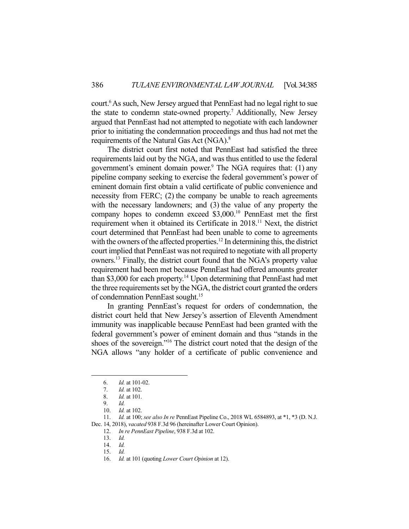court.6 As such, New Jersey argued that PennEast had no legal right to sue the state to condemn state-owned property.<sup>7</sup> Additionally, New Jersey argued that PennEast had not attempted to negotiate with each landowner prior to initiating the condemnation proceedings and thus had not met the requirements of the Natural Gas Act (NGA).<sup>8</sup>

 The district court first noted that PennEast had satisfied the three requirements laid out by the NGA, and was thus entitled to use the federal government's eminent domain power.<sup>9</sup> The NGA requires that: (1) any pipeline company seeking to exercise the federal government's power of eminent domain first obtain a valid certificate of public convenience and necessity from FERC; (2) the company be unable to reach agreements with the necessary landowners; and (3) the value of any property the company hopes to condemn exceed \$3,000.10 PennEast met the first requirement when it obtained its Certificate in 2018.11 Next, the district court determined that PennEast had been unable to come to agreements with the owners of the affected properties.<sup>12</sup> In determining this, the district court implied that PennEast was not required to negotiate with all property owners.13 Finally, the district court found that the NGA's property value requirement had been met because PennEast had offered amounts greater than \$3,000 for each property.<sup>14</sup> Upon determining that PennEast had met the three requirements set by the NGA, the district court granted the orders of condemnation PennEast sought.<sup>15</sup>

 In granting PennEast's request for orders of condemnation, the district court held that New Jersey's assertion of Eleventh Amendment immunity was inapplicable because PennEast had been granted with the federal government's power of eminent domain and thus "stands in the shoes of the sovereign."16 The district court noted that the design of the NGA allows "any holder of a certificate of public convenience and

 <sup>6.</sup> *Id.* at 101-02.

 <sup>7.</sup> *Id.* at 102.

 <sup>8.</sup> *Id.* at 101.

 <sup>9.</sup> *Id.*

 <sup>10.</sup> *Id.* at 102.

 <sup>11.</sup> *Id.* at 100; *see also In re* PennEast Pipeline Co., 2018 WL 6584893, at \*1, \*3 (D. N.J. Dec. 14, 2018), *vacated* 938 F.3d 96 (hereinafter Lower Court Opinion).

 <sup>12.</sup> *In re PennEast Pipeline*, 938 F.3d at 102.

 <sup>13.</sup> *Id.*

 <sup>14.</sup> *Id.* 

 <sup>15.</sup> *Id.*

 <sup>16.</sup> *Id.* at 101 (quoting *Lower Court Opinion* at 12).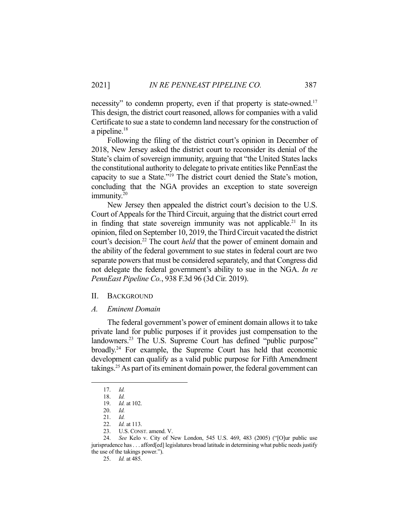necessity" to condemn property, even if that property is state-owned.<sup>17</sup> This design, the district court reasoned, allows for companies with a valid Certificate to sue a state to condemn land necessary for the construction of a pipeline.<sup>18</sup>

 Following the filing of the district court's opinion in December of 2018, New Jersey asked the district court to reconsider its denial of the State's claim of sovereign immunity, arguing that "the United States lacks the constitutional authority to delegate to private entities like PennEast the capacity to sue a State."19 The district court denied the State's motion, concluding that the NGA provides an exception to state sovereign immunity.<sup>20</sup>

 New Jersey then appealed the district court's decision to the U.S. Court of Appeals for the Third Circuit, arguing that the district court erred in finding that state sovereign immunity was not applicable.<sup>21</sup> In its opinion, filed on September 10, 2019, the Third Circuit vacated the district court's decision.<sup>22</sup> The court *held* that the power of eminent domain and the ability of the federal government to sue states in federal court are two separate powers that must be considered separately, and that Congress did not delegate the federal government's ability to sue in the NGA. *In re PennEast Pipeline Co.*, 938 F.3d 96 (3d Cir. 2019).

### II. BACKGROUND

#### *A. Eminent Domain*

The federal government's power of eminent domain allows it to take private land for public purposes if it provides just compensation to the landowners.<sup>23</sup> The U.S. Supreme Court has defined "public purpose" broadly.<sup>24</sup> For example, the Supreme Court has held that economic development can qualify as a valid public purpose for Fifth Amendment takings.<sup>25</sup> As part of its eminent domain power, the federal government can

 <sup>17.</sup> *Id.*

 <sup>18.</sup> *Id.* 

 <sup>19.</sup> *Id.* at 102.

 <sup>20.</sup> *Id.*

 <sup>21.</sup> *Id.*

 <sup>22.</sup> *Id.* at 113.

 <sup>23.</sup> U.S. CONST. amend. V.

 <sup>24.</sup> *See* Kelo v. City of New London, 545 U.S. 469, 483 (2005) ("[O]ur public use jurisprudence has . . . afford[ed] legislatures broad latitude in determining what public needs justify the use of the takings power.").

 <sup>25.</sup> *Id.* at 485.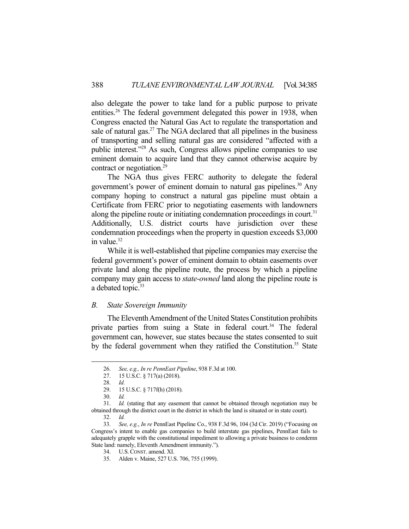also delegate the power to take land for a public purpose to private entities.<sup>26</sup> The federal government delegated this power in 1938, when Congress enacted the Natural Gas Act to regulate the transportation and sale of natural gas. $27$  The NGA declared that all pipelines in the business of transporting and selling natural gas are considered "affected with a public interest."28 As such, Congress allows pipeline companies to use eminent domain to acquire land that they cannot otherwise acquire by contract or negotiation.<sup>29</sup>

 The NGA thus gives FERC authority to delegate the federal government's power of eminent domain to natural gas pipelines.<sup>30</sup> Any company hoping to construct a natural gas pipeline must obtain a Certificate from FERC prior to negotiating easements with landowners along the pipeline route or initiating condemnation proceedings in court.<sup>31</sup> Additionally, U.S. district courts have jurisdiction over these condemnation proceedings when the property in question exceeds \$3,000 in value.<sup>32</sup>

 While it is well-established that pipeline companies may exercise the federal government's power of eminent domain to obtain easements over private land along the pipeline route, the process by which a pipeline company may gain access to *state-owned* land along the pipeline route is a debated topic.<sup>33</sup>

## *B. State Sovereign Immunity*

 The Eleventh Amendment of the United States Constitution prohibits private parties from suing a State in federal court.<sup>34</sup> The federal government can, however, sue states because the states consented to suit by the federal government when they ratified the Constitution.<sup>35</sup> State

 <sup>26.</sup> *See, e.g., In re PennEast Pipeline*, 938 F.3d at 100.

 <sup>27. 15</sup> U.S.C. § 717(a) (2018).

 <sup>28.</sup> *Id.*

 <sup>29. 15</sup> U.S.C. § 717f(h) (2018).

 <sup>30.</sup> *Id.*

 <sup>31.</sup> *Id.* (stating that any easement that cannot be obtained through negotiation may be obtained through the district court in the district in which the land is situated or in state court).

 <sup>32.</sup> *Id.*

 <sup>33.</sup> *See, e.g.*, *In re* PennEast Pipeline Co., 938 F.3d 96, 104 (3d Cir. 2019) ("Focusing on Congress's intent to enable gas companies to build interstate gas pipelines, PennEast fails to adequately grapple with the constitutional impediment to allowing a private business to condemn State land: namely, Eleventh Amendment immunity.").

 <sup>34.</sup> U.S.CONST. amend. XI.

 <sup>35.</sup> Alden v. Maine, 527 U.S. 706, 755 (1999).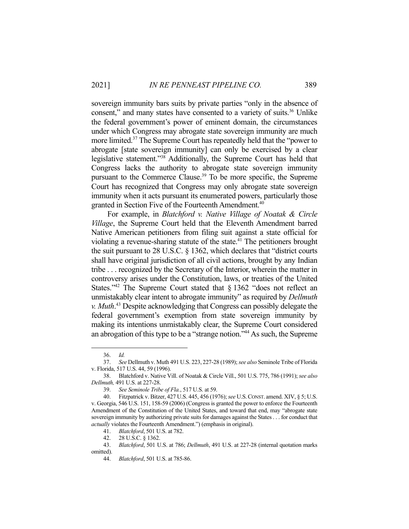sovereign immunity bars suits by private parties "only in the absence of consent," and many states have consented to a variety of suits.<sup>36</sup> Unlike the federal government's power of eminent domain, the circumstances under which Congress may abrogate state sovereign immunity are much more limited.<sup>37</sup> The Supreme Court has repeatedly held that the "power to abrogate [state sovereign immunity] can only be exercised by a clear legislative statement."38 Additionally, the Supreme Court has held that Congress lacks the authority to abrogate state sovereign immunity pursuant to the Commerce Clause.39 To be more specific, the Supreme Court has recognized that Congress may only abrogate state sovereign immunity when it acts pursuant its enumerated powers, particularly those granted in Section Five of the Fourteenth Amendment.<sup>40</sup>

 For example, in *Blatchford v. Native Village of Noatak & Circle Village*, the Supreme Court held that the Eleventh Amendment barred Native American petitioners from filing suit against a state official for violating a revenue-sharing statute of the state. $41$  The petitioners brought the suit pursuant to 28 U.S.C. § 1362, which declares that "district courts shall have original jurisdiction of all civil actions, brought by any Indian tribe . . . recognized by the Secretary of the Interior, wherein the matter in controversy arises under the Constitution, laws, or treaties of the United States."<sup>42</sup> The Supreme Court stated that  $\S 1362$  "does not reflect an unmistakably clear intent to abrogate immunity" as required by *Dellmuth v. Muth*. 43 Despite acknowledging that Congress can possibly delegate the federal government's exemption from state sovereign immunity by making its intentions unmistakably clear, the Supreme Court considered an abrogation of this type to be a "strange notion."<sup>44</sup> As such, the Supreme

 <sup>36.</sup> *Id.*

 <sup>37.</sup> *See* Dellmuth v. Muth 491 U.S. 223, 227-28 (1989); *see also* Seminole Tribe of Florida v. Florida, 517 U.S. 44, 59 (1996).

 <sup>38.</sup> Blatchford v. Native Vill. of Noatak & Circle Vill., 501 U.S. 775, 786 (1991); *see also Dellmuth,* 491 U.S. at 227-28.

 <sup>39.</sup> *See Seminole Tribe of Fla.*, 517 U.S. at 59.

 <sup>40.</sup> Fitzpatrick v. Bitzer, 427 U.S. 445, 456 (1976); *see* U.S.CONST. amend. XIV, § 5; U.S. v. Georgia, 546 U.S. 151, 158-59 (2006) (Congress is granted the power to enforce the Fourteenth Amendment of the Constitution of the United States, and toward that end, may "abrogate state sovereign immunity by authorizing private suits for damages against the States . . . for conduct that *actually* violates the Fourteenth Amendment.") (emphasis in original).

 <sup>41.</sup> *Blatchford*, 501 U.S. at 782.

 <sup>42. 28</sup> U.S.C. § 1362.

 <sup>43.</sup> *Blatchford*, 501 U.S. at 786; *Dellmuth*, 491 U.S. at 227-28 (internal quotation marks omitted).

 <sup>44.</sup> *Blatchford*, 501 U.S. at 785-86.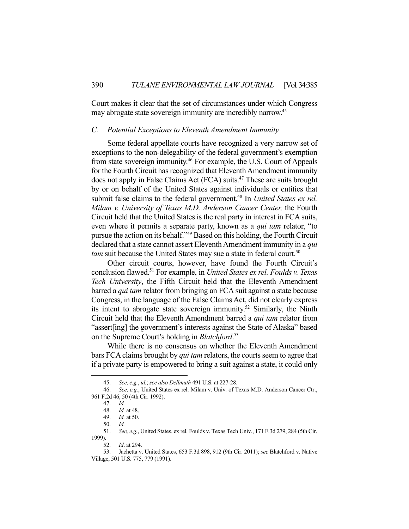Court makes it clear that the set of circumstances under which Congress may abrogate state sovereign immunity are incredibly narrow.<sup>45</sup>

### *C. Potential Exceptions to Eleventh Amendment Immunity*

 Some federal appellate courts have recognized a very narrow set of exceptions to the non-delegability of the federal government's exemption from state sovereign immunity.46 For example, the U.S. Court of Appeals for the Fourth Circuit has recognized that Eleventh Amendment immunity does not apply in False Claims Act (FCA) suits.47 These are suits brought by or on behalf of the United States against individuals or entities that submit false claims to the federal government.<sup>48</sup> In *United States ex rel. Milam v. University of Texas M.D. Anderson Cancer Center,* the Fourth Circuit held that the United States is the real party in interest in FCA suits, even where it permits a separate party, known as a *qui tam* relator, "to pursue the action on its behalf."49 Based on this holding, the Fourth Circuit declared that a state cannot assert Eleventh Amendment immunity in a *qui tam* suit because the United States may sue a state in federal court.<sup>50</sup>

 Other circuit courts, however, have found the Fourth Circuit's conclusion flawed.51 For example, in *United States ex rel. Foulds v. Texas Tech University*, the Fifth Circuit held that the Eleventh Amendment barred a *qui tam* relator from bringing an FCA suit against a state because Congress, in the language of the False Claims Act, did not clearly express its intent to abrogate state sovereign immunity.<sup>52</sup> Similarly, the Ninth Circuit held that the Eleventh Amendment barred a *qui tam* relator from "assert[ing] the government's interests against the State of Alaska" based on the Supreme Court's holding in *Blatchford*. 53

 While there is no consensus on whether the Eleventh Amendment bars FCA claims brought by *qui tam* relators, the courts seem to agree that if a private party is empowered to bring a suit against a state, it could only

 <sup>45.</sup> *See, e.g.*, *id.*; *see also Dellmuth* 491 U.S. at 227-28.

 <sup>46.</sup> *See, e.g.*, United States ex rel. Milam v. Univ. of Texas M.D. Anderson Cancer Ctr., 961 F.2d 46, 50 (4th Cir. 1992).

 <sup>47.</sup> *Id.*

 <sup>48.</sup> *Id.* at 48.

 <sup>49.</sup> *Id.* at 50.

 <sup>50.</sup> *Id.*

 <sup>51.</sup> *See, e.g.*, United States. ex rel*.* Foulds v. Texas Tech Univ., 171 F.3d 279, 284 (5th Cir. 1999).

 <sup>52.</sup> *Id*. at 294.

 <sup>53.</sup> Jachetta v. United States, 653 F.3d 898, 912 (9th Cir. 2011); *see* Blatchford v. Native Village, 501 U.S. 775, 779 (1991).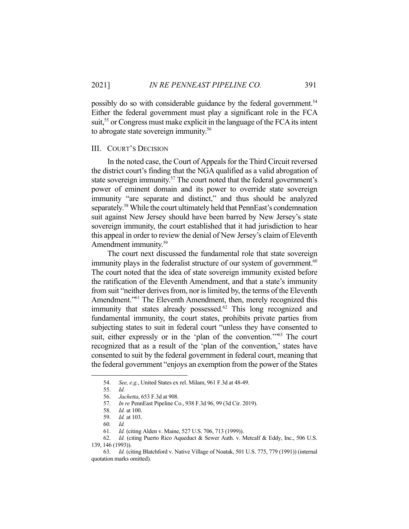possibly do so with considerable guidance by the federal government.<sup>54</sup> Either the federal government must play a significant role in the FCA suit,<sup>55</sup> or Congress must make explicit in the language of the FCA its intent to abrogate state sovereign immunity.<sup>56</sup>

### III. COURT'S DECISION

 In the noted case, the Court of Appeals for the Third Circuit reversed the district court's finding that the NGA qualified as a valid abrogation of state sovereign immunity.<sup>57</sup> The court noted that the federal government's power of eminent domain and its power to override state sovereign immunity "are separate and distinct," and thus should be analyzed separately.58 While the court ultimately held that PennEast's condemnation suit against New Jersey should have been barred by New Jersey's state sovereign immunity, the court established that it had jurisdiction to hear this appeal in order to review the denial of New Jersey's claim of Eleventh Amendment immunity.<sup>59</sup>

 The court next discussed the fundamental role that state sovereign immunity plays in the federalist structure of our system of government.<sup>60</sup> The court noted that the idea of state sovereign immunity existed before the ratification of the Eleventh Amendment, and that a state's immunity from suit "neither derives from, nor is limited by, the terms of the Eleventh Amendment."<sup>61</sup> The Eleventh Amendment, then, merely recognized this immunity that states already possessed. $62$  This long recognized and fundamental immunity, the court states, prohibits private parties from subjecting states to suit in federal court "unless they have consented to suit, either expressly or in the 'plan of the convention.'"63 The court recognized that as a result of the 'plan of the convention,' states have consented to suit by the federal government in federal court, meaning that the federal government "enjoys an exemption from the power of the States

 <sup>54.</sup> *See, e.g.*, United States ex rel. Milam, 961 F.3d at 48-49.

 <sup>55.</sup> *Id.*

 <sup>56.</sup> *Jachetta*, 653 F.3d at 908.

 <sup>57.</sup> *In re* PennEast Pipeline Co., 938 F.3d 96, 99 (3d Cir. 2019).

 <sup>58.</sup> *Id.* at 100.

 <sup>59.</sup> *Id.* at 103.

 <sup>60.</sup> *Id.*

 <sup>61.</sup> *Id.* (citing Alden v. Maine, 527 U.S. 706, 713 (1999)).

 <sup>62.</sup> *Id.* (citing Puerto Rico Aqueduct & Sewer Auth. v. Metcalf & Eddy, Inc., 506 U.S. 139, 146 (1993)).

 <sup>63.</sup> *Id.* (citing Blatchford v. Native Village of Noatak, 501 U.S. 775, 779 (1991)) (internal quotation marks omitted).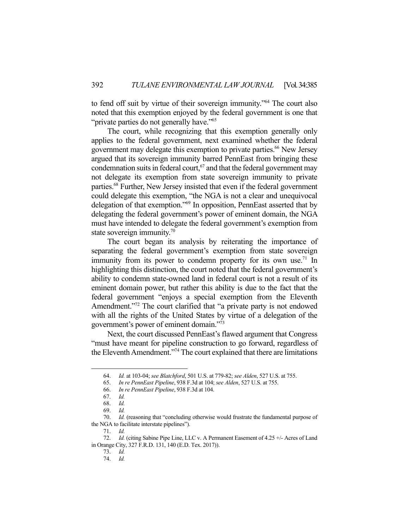to fend off suit by virtue of their sovereign immunity."64 The court also noted that this exemption enjoyed by the federal government is one that "private parties do not generally have."<sup>65</sup>

 The court, while recognizing that this exemption generally only applies to the federal government, next examined whether the federal government may delegate this exemption to private parties.<sup>66</sup> New Jersey argued that its sovereign immunity barred PennEast from bringing these condemnation suits in federal court,  $67$  and that the federal government may not delegate its exemption from state sovereign immunity to private parties.68 Further, New Jersey insisted that even if the federal government could delegate this exemption, "the NGA is not a clear and unequivocal delegation of that exemption."69 In opposition, PennEast asserted that by delegating the federal government's power of eminent domain, the NGA must have intended to delegate the federal government's exemption from state sovereign immunity. $70$ 

 The court began its analysis by reiterating the importance of separating the federal government's exemption from state sovereign immunity from its power to condemn property for its own use.<sup>71</sup> In highlighting this distinction, the court noted that the federal government's ability to condemn state-owned land in federal court is not a result of its eminent domain power, but rather this ability is due to the fact that the federal government "enjoys a special exemption from the Eleventh Amendment."<sup>72</sup> The court clarified that "a private party is not endowed with all the rights of the United States by virtue of a delegation of the government's power of eminent domain."73

 Next, the court discussed PennEast's flawed argument that Congress "must have meant for pipeline construction to go forward, regardless of the Eleventh Amendment."74 The court explained that there are limitations

 <sup>64.</sup> *Id.* at 103-04; *see Blatchford*, 501 U.S. at 779-82; *see Alden*, 527 U.S. at 755.

 <sup>65.</sup> *In re PennEast Pipeline*, 938 F.3d at 104; *see Alden*, 527 U.S. at 755.

 <sup>66.</sup> *In re PennEast Pipeline*, 938 F.3d at 104.

 <sup>67.</sup> *Id.*

 <sup>68.</sup> *Id.*

 <sup>69.</sup> *Id.*

 <sup>70.</sup> *Id.* (reasoning that "concluding otherwise would frustrate the fundamental purpose of the NGA to facilitate interstate pipelines").

 <sup>71.</sup> *Id.*

 <sup>72.</sup> *Id.* (citing Sabine Pipe Line, LLC v. A Permanent Easement of 4.25 +/- Acres of Land in Orange City, 327 F.R.D. 131, 140 (E.D. Tex. 2017)).

 <sup>73.</sup> *Id.*

 <sup>74.</sup> *Id.*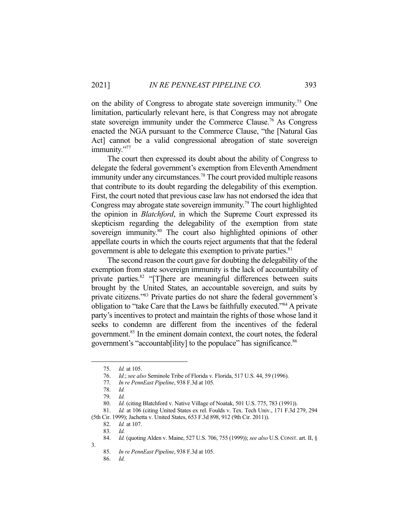on the ability of Congress to abrogate state sovereign immunity. 75 One limitation, particularly relevant here, is that Congress may not abrogate state sovereign immunity under the Commerce Clause.<sup>76</sup> As Congress enacted the NGA pursuant to the Commerce Clause, "the [Natural Gas Act] cannot be a valid congressional abrogation of state sovereign immunity."77

 The court then expressed its doubt about the ability of Congress to delegate the federal government's exemption from Eleventh Amendment immunity under any circumstances.<sup>78</sup> The court provided multiple reasons that contribute to its doubt regarding the delegability of this exemption. First, the court noted that previous case law has not endorsed the idea that Congress may abrogate state sovereign immunity.<sup>79</sup> The court highlighted the opinion in *Blatchford*, in which the Supreme Court expressed its skepticism regarding the delegability of the exemption from state sovereign immunity.<sup>80</sup> The court also highlighted opinions of other appellate courts in which the courts reject arguments that that the federal government is able to delegate this exemption to private parties.<sup>81</sup>

 The second reason the court gave for doubting the delegability of the exemption from state sovereign immunity is the lack of accountability of private parties.<sup>82</sup> "[T]here are meaningful differences between suits brought by the United States, an accountable sovereign, and suits by private citizens."83 Private parties do not share the federal government's obligation to "take Care that the Laws be faithfully executed."84 A private party's incentives to protect and maintain the rights of those whose land it seeks to condemn are different from the incentives of the federal government.85 In the eminent domain context, the court notes, the federal government's "accountab<sup>[ility]</sup> to the populace" has significance.<sup>86</sup>

3.

86. *Id.*

 <sup>75.</sup> *Id.* at 105.

 <sup>76.</sup> *Id.*; *see also* Seminole Tribe of Florida v. Florida, 517 U.S. 44, 59 (1996).

 <sup>77.</sup> *In re PennEast Pipeline*, 938 F.3d at 105.

 <sup>78.</sup> *Id.* 

 <sup>79.</sup> *Id.*

 <sup>80.</sup> *Id.* (citing Blatchford v. Native Village of Noatak, 501 U.S. 775, 783 (1991)).

 <sup>81.</sup> *Id.* at 106 (citing United States ex rel. Foulds v. Tex. Tech Univ., 171 F.3d 279, 294

<sup>(5</sup>th Cir. 1999); Jachetta v. United States, 653 F.3d 898, 912 (9th Cir. 2011)).

 <sup>82.</sup> *Id.* at 107.

 <sup>83.</sup> *Id.*

 <sup>84.</sup> *Id.* (quoting Alden v. Maine, 527 U.S. 706, 755 (1999)); *see also* U.S.CONST. art. II, §

 <sup>85.</sup> *In re PennEast Pipeline*, 938 F.3d at 105.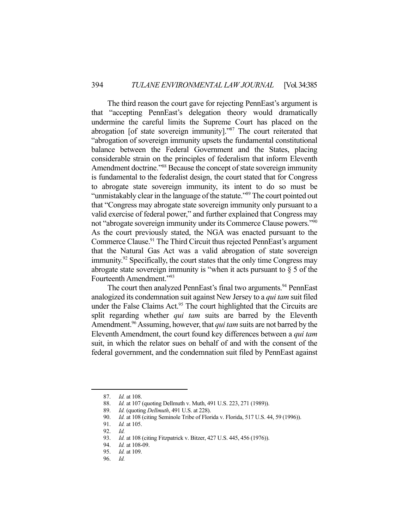The third reason the court gave for rejecting PennEast's argument is that "accepting PennEast's delegation theory would dramatically undermine the careful limits the Supreme Court has placed on the abrogation [of state sovereign immunity]."87 The court reiterated that "abrogation of sovereign immunity upsets the fundamental constitutional balance between the Federal Government and the States, placing considerable strain on the principles of federalism that inform Eleventh Amendment doctrine."<sup>88</sup> Because the concept of state sovereign immunity is fundamental to the federalist design, the court stated that for Congress to abrogate state sovereign immunity, its intent to do so must be "unmistakably clear in the language of the statute."89 The court pointed out that "Congress may abrogate state sovereign immunity only pursuant to a valid exercise of federal power," and further explained that Congress may not "abrogate sovereign immunity under its Commerce Clause powers."90 As the court previously stated, the NGA was enacted pursuant to the Commerce Clause.<sup>91</sup> The Third Circuit thus rejected PennEast's argument that the Natural Gas Act was a valid abrogation of state sovereign immunity.<sup>92</sup> Specifically, the court states that the only time Congress may abrogate state sovereign immunity is "when it acts pursuant to  $\S$  5 of the Fourteenth Amendment."93

The court then analyzed PennEast's final two arguments.<sup>94</sup> PennEast analogized its condemnation suit against New Jersey to a *qui tam* suit filed under the False Claims  $Act.^{95}$  The court highlighted that the Circuits are split regarding whether *qui tam* suits are barred by the Eleventh Amendment.<sup>96</sup> Assuming, however, that *qui tam* suits are not barred by the Eleventh Amendment, the court found key differences between a *qui tam* suit, in which the relator sues on behalf of and with the consent of the federal government, and the condemnation suit filed by PennEast against

 <sup>87.</sup> *Id.* at 108.

 <sup>88.</sup> *Id.* at 107 (quoting Dellmuth v. Muth, 491 U.S. 223, 271 (1989)).

 <sup>89.</sup> *Id.* (quoting *Dellmuth*, 491 U.S. at 228).

 <sup>90.</sup> *Id.* at 108 (citing Seminole Tribe of Florida v. Florida, 517 U.S. 44, 59 (1996)).

 <sup>91.</sup> *Id.* at 105.

 <sup>92.</sup> *Id.*

 <sup>93.</sup> *Id.* at 108 (citing Fitzpatrick v. Bitzer, 427 U.S. 445, 456 (1976)).

 <sup>94.</sup> *Id.* at 108-09.

 <sup>95.</sup> *Id.* at 109.

 <sup>96.</sup> *Id.*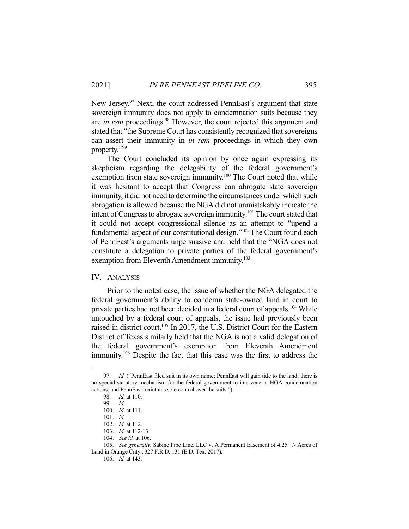New Jersey.<sup>97</sup> Next, the court addressed PennEast's argument that state sovereign immunity does not apply to condemnation suits because they are *in rem* proceedings.<sup>98</sup> However, the court rejected this argument and stated that "the Supreme Court has consistently recognized that sovereigns can assert their immunity in *in rem* proceedings in which they own property."99

 The Court concluded its opinion by once again expressing its skepticism regarding the delegability of the federal government's exemption from state sovereign immunity.<sup>100</sup> The Court noted that while it was hesitant to accept that Congress can abrogate state sovereign immunity, it did not need to determine the circumstances under which such abrogation is allowed because the NGA did not unmistakably indicate the intent of Congress to abrogate sovereign immunity.<sup>101</sup> The court stated that it could not accept congressional silence as an attempt to "upend a fundamental aspect of our constitutional design."102 The Court found each of PennEast's arguments unpersuasive and held that the "NGA does not constitute a delegation to private parties of the federal government's exemption from Eleventh Amendment immunity.<sup>103</sup>

### IV. ANALYSIS

 Prior to the noted case, the issue of whether the NGA delegated the federal government's ability to condemn state-owned land in court to private parties had not been decided in a federal court of appeals.<sup>104</sup> While untouched by a federal court of appeals, the issue had previously been raised in district court.<sup>105</sup> In 2017, the U.S. District Court for the Eastern District of Texas similarly held that the NGA is not a valid delegation of the federal government's exemption from Eleventh Amendment immunity.106 Despite the fact that this case was the first to address the

 <sup>97.</sup> *Id.* ("PennEast filed suit in its own name; PennEast will gain title to the land; there is no special statutory mechanism for the federal government to intervene in NGA condemnation actions; and PennEast maintains sole control over the suits.")

 <sup>98.</sup> *Id.* at 110.

 <sup>99.</sup> *Id.*

 <sup>100.</sup> *Id.* at 111.

 <sup>101.</sup> *Id.*

 <sup>102.</sup> *Id.* at 112.

 <sup>103.</sup> *Id.* at 112-13.

 <sup>104.</sup> *See id.* at 106.

 <sup>105.</sup> *See generally*, Sabine Pipe Line, LLC v. A Permanent Easement of 4.25 +/- Acres of Land in Orange Cnty., 327 F.R.D. 131 (E.D. Tex. 2017).

 <sup>106.</sup> *Id.* at 143.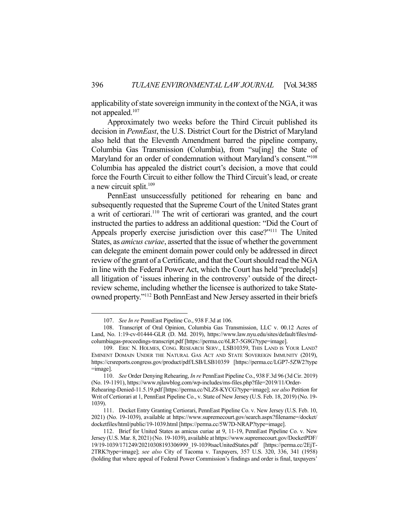applicability of state sovereign immunity in the context of the NGA, it was not appealed.107

 Approximately two weeks before the Third Circuit published its decision in *PennEast*, the U.S. District Court for the District of Maryland also held that the Eleventh Amendment barred the pipeline company, Columbia Gas Transmission (Columbia), from "su[ing] the State of Maryland for an order of condemnation without Maryland's consent."<sup>108</sup> Columbia has appealed the district court's decision, a move that could force the Fourth Circuit to either follow the Third Circuit's lead, or create a new circuit split.<sup>109</sup>

 PennEast unsuccessfully petitioned for rehearing en banc and subsequently requested that the Supreme Court of the United States grant a writ of certiorari.110 The writ of certiorari was granted, and the court instructed the parties to address an additional question: "Did the Court of Appeals properly exercise jurisdiction over this case?"<sup>111</sup> The United States, as *amicus curiae*, asserted that the issue of whether the government can delegate the eminent domain power could only be addressed in direct review of the grant of a Certificate, and that the Court should read the NGA in line with the Federal Power Act, which the Court has held "preclude[s] all litigation of 'issues inhering in the controversy' outside of the directreview scheme, including whether the licensee is authorized to take Stateowned property."112 Both PennEast and New Jersey asserted in their briefs

 <sup>107.</sup> *See In re* PennEast Pipeline Co., 938 F.3d at 106.

 <sup>108.</sup> Transcript of Oral Opinion, Columbia Gas Transmission, LLC v. 00.12 Acres of Land, No. 1:19-cv-01444-GLR (D. Md. 2019), https://www.law.nyu.edu/sites/default/files/mdcolumbiagas-proceedings-transcript.pdf [https://perma.cc/6LR7-5G8G?type=image].

 <sup>109.</sup> ERIC N. HOLMES, CONG. RESEARCH SERV., LSB10359, THIS LAND IS YOUR LAND? EMINENT DOMAIN UNDER THE NATURAL GAS ACT AND STATE SOVEREIGN IMMUNITY (2019), https://crsreports.congress.gov/product/pdf/LSB/LSB10359 [https://perma.cc/LGP7-5ZW2?type =image].

 <sup>110.</sup> *See* Order Denying Rehearing, *In re* PennEast Pipeline Co., 938 F.3d 96 (3d Cir. 2019) (No. 19-1191), https://www.njlawblog.com/wp-includes/ms-files.php?file=2019/11/Order-Rehearing-Denied-11.5.19.pdf [https://perma.cc/NLZ8-KYCG?type=image]; *see also* Petition for

Writ of Certiorari at 1, PennEast Pipeline Co., v. State of New Jersey (U.S. Feb. 18, 2019) (No. 19- 1039).

 <sup>111.</sup> Docket Entry Granting Certiorari, PennEast Pipeline Co. v. New Jersey (U.S. Feb. 10, 2021) (No. 19-1039), available at https://www.supremecourt.gov/search.aspx?filename=/docket/ docketfiles/html/public/19-1039.html [https://perma.cc/5W7D-NRAP?type=image].

 <sup>112.</sup> Brief for United States as amicus curiae at 9, 11-19, PennEast Pipeline Co. v. New Jersey (U.S. Mar. 8, 2021) (No. 19-1039), available at https://www.supremecourt.gov/DocketPDF/ 19/19-1039/171249/20210308193306999\_19-1039tsacUnitedStates.pdf [https://perma.cc/2EjT-2TRK?type=image]; *see also* City of Tacoma v. Taxpayers, 357 U.S. 320, 336, 341 (1958) (holding that where appeal of Federal Power Commission's findings and order is final, taxpayers'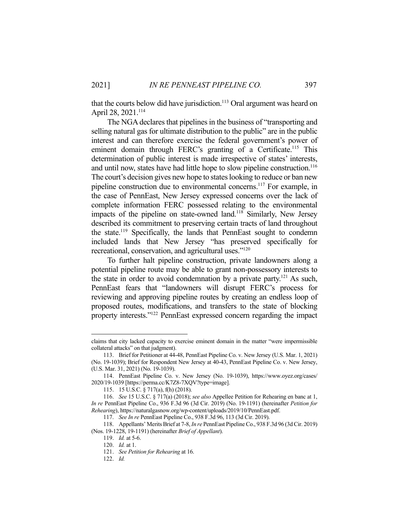that the courts below did have jurisdiction.<sup>113</sup> Oral argument was heard on April 28, 2021.<sup>114</sup>

 The NGA declares that pipelines in the business of "transporting and selling natural gas for ultimate distribution to the public" are in the public interest and can therefore exercise the federal government's power of eminent domain through FERC's granting of a Certificate.<sup>115</sup> This determination of public interest is made irrespective of states' interests, and until now, states have had little hope to slow pipeline construction.<sup>116</sup> The court's decision gives new hope to states looking to reduce or ban new pipeline construction due to environmental concerns.117 For example, in the case of PennEast, New Jersey expressed concerns over the lack of complete information FERC possessed relating to the environmental impacts of the pipeline on state-owned land.<sup>118</sup> Similarly, New Jersey described its commitment to preserving certain tracts of land throughout the state.119 Specifically, the lands that PennEast sought to condemn included lands that New Jersey "has preserved specifically for recreational, conservation, and agricultural uses."120

 To further halt pipeline construction, private landowners along a potential pipeline route may be able to grant non-possessory interests to the state in order to avoid condemnation by a private party.121 As such, PennEast fears that "landowners will disrupt FERC's process for reviewing and approving pipeline routes by creating an endless loop of proposed routes, modifications, and transfers to the state of blocking property interests."122 PennEast expressed concern regarding the impact

122. *Id.*

claims that city lacked capacity to exercise eminent domain in the matter "were impermissible collateral attacks" on that judgment).

 <sup>113.</sup> Brief for Petitioner at 44-48, PennEast Pipeline Co. v. New Jersey (U.S. Mar. 1, 2021) (No. 19-1039); Brief for Respondent New Jersey at 40-43, PennEast Pipeline Co. v. New Jersey, (U.S. Mar. 31, 2021) (No. 19-1039).

 <sup>114.</sup> PennEast Pipeline Co. v. New Jersey (No. 19-1039), https://www.oyez.org/cases/ 2020/19-1039 [https://perma.cc/K7Z8-7XQV?type=image].

 <sup>115. 15</sup> U.S.C. § 717(a), f(h) (2018).

 <sup>116.</sup> *See* 15 U.S.C. § 717(a) (2018); *see also* Appellee Petition for Rehearing en banc at 1, *In re* PennEast Pipeline Co., 936 F.3d 96 (3d Cir. 2019) (No. 19-1191) (hereinafter *Petition for Rehearing*), https://naturalgasnow.org/wp-content/uploads/2019/10/PennEast.pdf.

 <sup>117.</sup> *See In re* PennEast Pipeline Co., 938 F.3d 96, 113 (3d Cir. 2019).

 <sup>118.</sup> Appellants' Merits Brief at 7-8, *In re* PennEast Pipeline Co., 938 F.3d 96 (3d Cir. 2019) (Nos. 19-1228, 19-1191) (hereinafter *Brief of Appellant*).

 <sup>119.</sup> *Id.* at 5-6.

 <sup>120.</sup> *Id.* at 1.

 <sup>121.</sup> *See Petition for Rehearing* at 16.